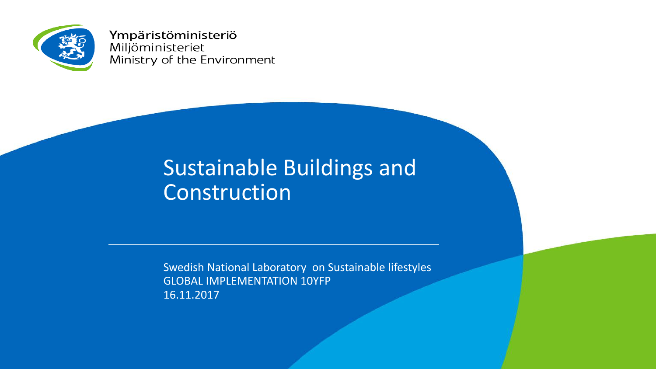

Ympäristöministeriö Miljöministeriet Ministry of the Environment

# Sustainable Buildings and Construction

Swedish National Laboratory on Sustainable lifestyles GLOBAL IMPLEMENTATION 10YFP 16.11.2017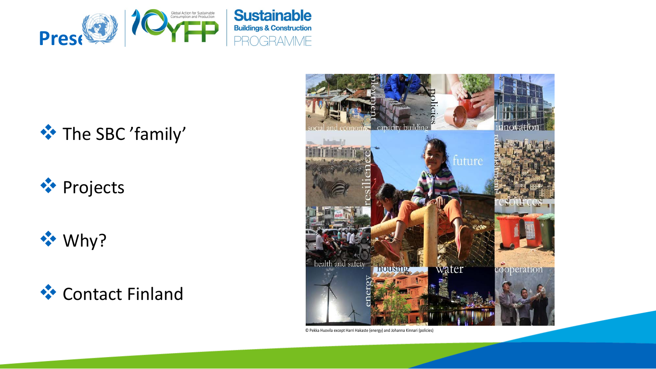

### **<sup>◆</sup> The SBC 'family'**

# **◆ Projects**

**☆** Why?





© Pekka Huovila except Harri Hakaste (energy) and Johanna Kinnari (policies)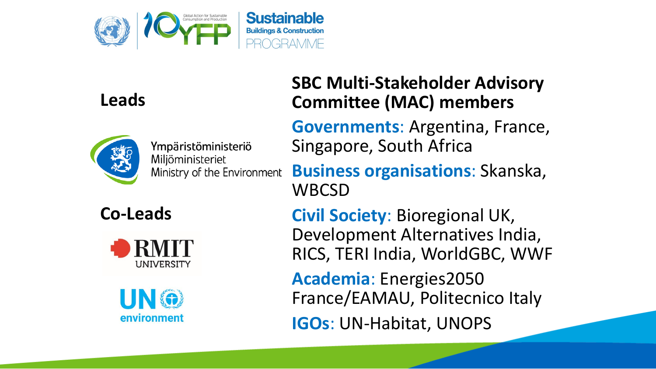

### **Leads**



Ympäristöministeriö Miljöministeriet Ministry of the Environment

**SBC Multi -Stakeholder Advisory Committee (MAC) members**

**Governments** : Argentina, France, Singapore, South Africa

**Co -Leads**



environment

**Business organisations** : Skanska, **WBCSD** 

**Civil Society**: Bioregional UK, Development Alternatives India, RICS, TERI India, WorldGBC, WWF

**Academia** : Energies2050 France/EAMAU, Politecnico Italy

**IGOs**: UN -Habitat, UNOPS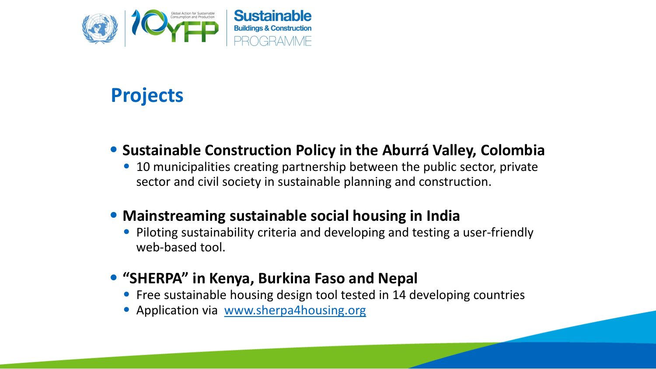

# **Projects**

#### • **Sustainable Construction Policy in the Aburrá Valley, Colombia**

• 10 municipalities creating partnership between the public sector, private sector and civil society in sustainable planning and construction.

#### • **Mainstreaming sustainable social housing in India**

- Piloting sustainability criteria and developing and testing a user-friendly web-based tool.
- **"SHERPA" in Kenya, Burkina Faso and Nepal**
	- Free sustainable housing design tool tested in 14 developing countries
	- Application via [www.sherpa4housing.org](http://www.sherpa4housing.org/)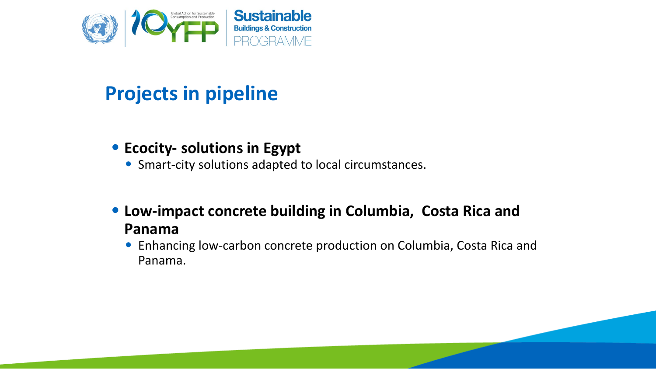

# **Projects in pipeline**

#### • **Ecocity- solutions in Egypt**

- Smart-city solutions adapted to local circumstances.
- **Low-impact concrete building in Columbia, Costa Rica and Panama**
	- Enhancing low-carbon concrete production on Columbia, Costa Rica and Panama.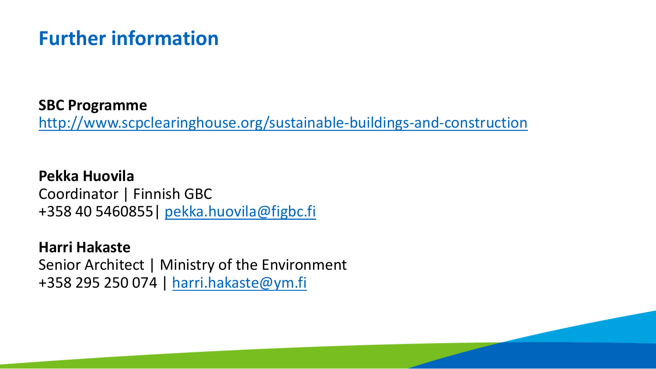## **Further information**

#### **SBC Programme**

<http://www.scpclearinghouse.org/sustainable-buildings-and-construction>

**Pekka Huovila** Coordinator | Finnish GBC +358 40 5460855| [pekka.huovila@figbc.fi](mailto:pekka.huovila@figbc.fi)

#### **Harri Hakaste**

Senior Architect | Ministry of the Environment +358 295 250 074 | [harri.hakaste@ym.fi](mailto:harri.hakaste@ym.fi)